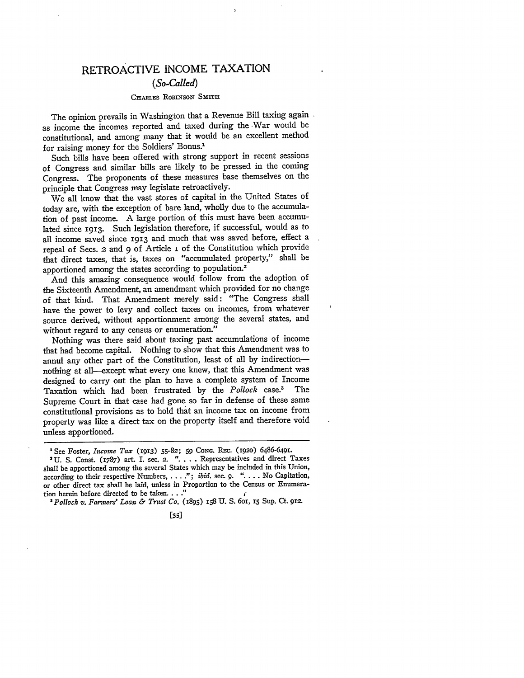## RETROACTIVE **INCOME TAXATION** *(So-Called)*

## **CHAFLs ROBiNSON SMITH**

The opinion prevails in Washington that a Revenue Bill taxing again. as income the incomes reported and taxed during the War would be constitutional, and among many that it would be an excellent method for raising money for the Soldiers' Bonus.'

Such bills have been offered with strong support in recent sessions of Congress and similar bills are likely to be pressed in the coming Congress. The proponents of these measures base themselves on the principle that Congress may legislate retroactively.

We all know that the vast stores of capital in the United States of today are, with the exception of bare land, wholly due to the accumulation of past income. A large portion of this must have been accumulated since 1913. Such legislation therefore, if successful, would as to all income saved since 1913 and much that was saved before, effect a repeal of Secs. **2** and 9 of Article **i** of the Constitution which provide that direct taxes, that is, taxes on "accumulated property," shall be apportioned among the states according to population.<sup>2</sup>

And this amazing consequence would follow from the adoption of the Sixteenth Amendment, an amendment which provided for no change of that kind. That Amendment merely said: "The Congress shall have the power to levy and collect taxes on incomes, from whatever source derived, without apportionment among the several states, and without regard to any census or enumeration."

Nothing was there said about taxing past accumulations of income that had become capital. Nothing to show that this Amendment was to annul any other part of the Constitution, least of all by indirectionnothing at all--except what every one knew, that this Amendment was designed to carry out the plan to have a complete system of Income<br>Taxation which had been frustrated by the *Pollock* case.<sup>3</sup> The Taxation which had been frustrated by the *Pollock* case.<sup>3</sup> Supreme Court in that case had gone so far in defense of these same constitutional provisions as to hold that an income tax on income from property was like a direct tax on the property itself and therefore void unless apportioned.

*'Pollock v. Farners' Loan & Trust Co.* (1895) **158 U. S.** 6ox, **15** Sup. Ct. 912.

**<sup>1</sup>**See Foster, *Income Tax* **(1913) 55-82; 59 CONG. REC.** (192o) **6486-6491.**

**<sup>&#</sup>x27;U.** S. Const. (1787) art. I. sec. 2. **". . . .** Representatives and direct Taxes shall be apportioned among the several States which may be included in this Union, according to their respective Numbers, . . . "; *ibid.* sec. 9. ". . . . No Capitation, or other direct tax shall be laid, unless in Proportion to the Census or Enumeration herein before directed to be taken...." *2-*

 $[35]$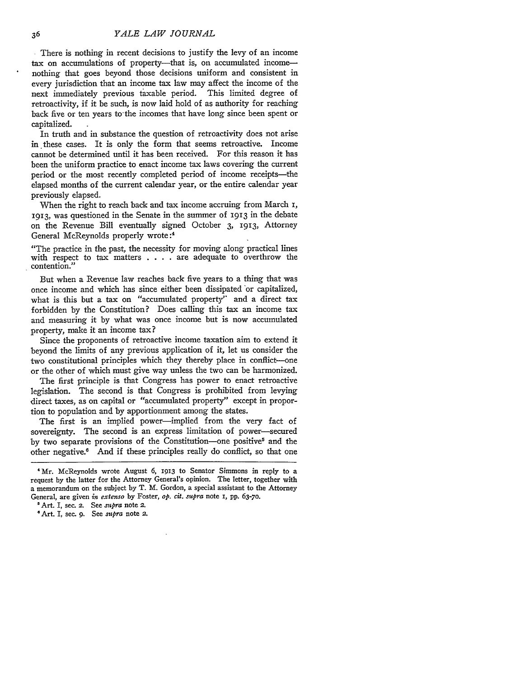There is nothing in recent decisions to justify the levy of an income tax on accumulations of property—that is, on accumulated income nothing that goes beyond those decisions uniform and consistent in every jurisdiction that an income tax law may affect the income of the next immediately previous taxable period. This limited degree of retroactivity, if it be such, is now laid hold of as authority for reaching back five or ten years to the incomes that have long since been spent or capitalized.

In truth and in substance the question of retroactivity does not arise in these cases. It is only the form that seems retroactive. Income cannot be determined until it has been received. For this reason it has been the uniform practice to enact income tax laws covering the current period or the most recently completed period of income receipts-the elapsed months of the current calendar year, or the entire calendar year previously elapsed.

When the right to reach back and tax income accruing from March i, **1913,** was questioned in the Senate in the summer of 1913 in the debate on the Revenue Bill eventually signed October 3, 1913, Attorney General McReynolds properly wrote :4

"The practice in the past, the necessity for moving along practical lines with respect to tax matters . **. .** . are adequate to overthrow the contention."

But when a Revenue law reaches back five years to a thing that was once income and which has since either been dissipated or capitalized, what is this but a tax on "accumulated property" and a direct tax forbidden by the Constitution? Does calling this tax an income tax and measuring it by what was once income but is now accumulated property, make it an income tax?

Since the proponents of retroactive income taxation aim to extend it beyond the limits of any previous application of it, let us consider the two constitutional principles which they thereby place in conflict-one or the other of which must give way unless the two can be harmonized.

The first principle is that Congress has power to enact retroactive legislation. The second is that Congress is prohibited from levying direct taxes, as on capital or "accumulated property" except in proportion to population and by apportionment among the states.

The first is an implied power--implied from the very fact of sovereignty. The second is an express limitation of power-secured by two separate provisions of the Constitution-one positive<sup>5</sup> and the other negative.6 And if these principles really do conflict, so that one

' Art. I, sec. **9.** See *supra* note 2.

<sup>&#</sup>x27; Mr. McReynolds wrote August 6, **1913** to Senator Simmons in reply to a request by the latter for the Attorney General's opinion. The letter, together with a memorandum on the subject by T. M. Gordon, a special assistant to the Attorney General, are given *in extenso* by Foster, *op. cit. supra* note **i,** pp. **63-70.**

<sup>&</sup>lt;sup>5</sup> Art. I, sec. 2. See *supra* note 2.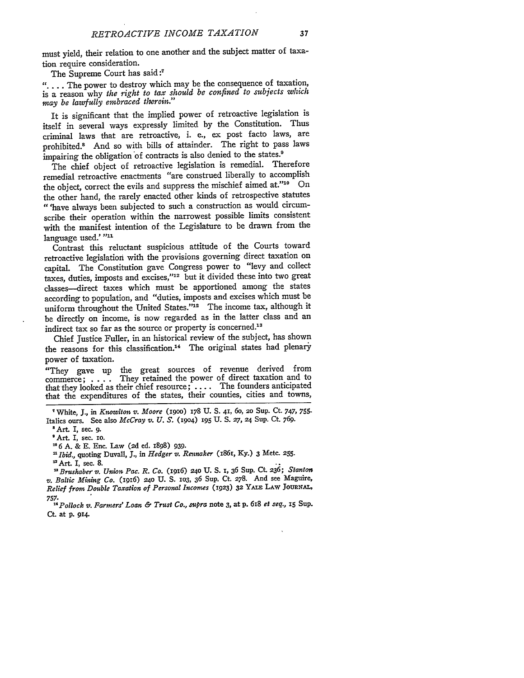must yield, their relation to one another and the subject matter of taxation require consideration.

The Supreme Court has said **:7**

*"....* The power to destroy which may be the consequence of taxation, is a reason why *the right to tax should be confined to subjects which may be lawfully embraced therein."*

It is significant that the implied power of retroactive legislation is itself in several ways expressly limited by the Constitution. Thus criminal laws that are retroactive, i. e., ex post facto laws, are prohibited." And so with bills of attainder. The right to pass laws impairing the obligation of contracts is also denied to the states.9

The chief object of retroactive legislation is remedial. Therefore remedial retroactive enactments "are construed liberally to accomplish the object, correct the evils and suppress the mischief aimed at."<sup>10</sup> On the other hand, the rarely enacted other kinds of retrospective statutes "'have always been subjected to such a construction as would circumscribe their operation within the narrowest possible limits consistent with the manifest intention of the Legislature to be drawn from the language used.' "<sup>11</sup>

Contrast this reluctant suspicious attitude of the Courts toward retroactive legislation with the provisions governing direct taxation on capital. The Constitution gave Congress power to "levy and collect taxes, duties, imposts and excises,"<sup>12</sup> but it divided these into two great classes--direct taxes which must be apportioned among the states according to population, and "duties, imposts and excises which must be uniform throughout the United States."<sup>12</sup> The income tax, although it be directly on income, is now regarded as in the latter class and an indirect tax so far as the source or property is concerned.<sup>13</sup>

Chief Justice Fuller, in an historical review of the subject, has shown the reasons for this classification.<sup>14</sup> The original states had plenary power of taxation.

"They gave up the great sources of revenue derived from commerce; .... They retained the power of direct taxation and to that they looked as their chief resource; .... The founders anticipated that the expenditures of the states, their counties, cities and towns,

**1 6** A. & E. Enc. Law **(2d** ed. 1898) 939.

*757. 'Pollock v. Farmers" Loan & Trust Co., supra* note 3, at **p. 618** *et seq.,* **15** Sup. Ct. at **p.** 914.

<sup>&#</sup>x27;White, **J.,** in *Knowlton v. Moore* (igoo) **178 U. S. 41,** 6o, **20** Sup. Ct. 747, *755.* Italics ours. See also *McCray v. U. S.* **(1904)** 195 U. S. **27,** 24 Sup. Ct. **769.**

<sup>&#</sup>x27;Art. I, sec. **9.**

<sup>&#</sup>x27;Art. I, sec. **1o.**

*Ibid.,* quoting Duvall, **J.,** in *Hedger v. Rennaker* (i86r, **Ky.) 3** Mete. **255.** <sup>12</sup> Art. I, sec. 8.

*<sup>&#</sup>x27; Brushaber v. Union* Pac. *R. Co.* (1916) **24o** U. S. 1, **36** Sup. Ct. **236;** *Stanton v. Baltic Mining Co.* (1916) **240** U. **S.** *103, 36* Sup. Ct. **278.** And see Maguire, Relief from Double Taxation of Personal Incomes (1923) 32 YALE LAW JOURNAL,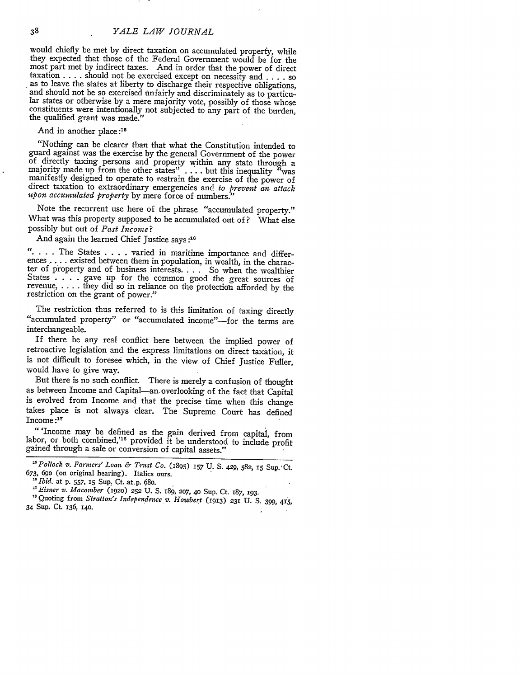would chiefly be met **by** direct taxation on accumulated properfy, while they expected that those of the Federal Government would be for the most part met by indirect taxes. And in order that the power of direct taxation  $\dots$  should not be exercised except on necessity and  $\dots$  so as to leave the states at liberty to discharge their respective obligations, and should not be so exercised unfairly and discriminately as to particu- lar states or otherwise by a mere majority vote, possibly of those whose constituents were intentionally not subjected to any part of the burden, the qualified grant was made."

## And in another place *:15*

"Nothing can be clearer than that what the Constitution intended to of directly taxing persons and property within any state through a majority made up from the other states" . . . . but this inequality "was manifestly designed to operate to restrain the exercise of the power of direct taxation to extraordinary emergencies and *to prevent an attack upon accumulated property* by mere force of numbers.

Note the recurrent use here of the phrase "accumulated property." What was this property supposed to be accumulated out of ? What else possibly but out of *Past Income?*

And again the learned Chief Justice says:<sup>16</sup>

*....* The States . **. .** . varied in maritime importance and differ- ences .... existed between them in population, in wealth, in the character of property and of business interests. . **.** . So when the wealthier States . **. .** . gave up for the common good the great sources of revenue, **....** they did so in reliance on the protection afforded by the restriction on the grant of power."

The restriction thus referred to is this limitation of taxing directly "accumulated property" or "accumulated income"--for the terms are interchangeable.

If there be any real conflict here between the implied power of retroactive legislation and the express limitations on direct taxation, it is not difficult to foresee which, in the view of Chief Justice Fuller, would have to give way.

But there is no such conflict. There is merely a confusion of thought as between Income and Capital-an overlooking of the fact that Capital is evolved from Income and that the precise time when this change takes place is not always clear. The Supreme Court has defined Income *:'7*

" Income may be defined as the gain derived from capital, from labor, or both combined,"<sup>18</sup> provided it be understood to include profit gained through a sale or conversion of capital assets."

*'TEisner v. Macomber* (1920) **252** U. S. 189, *207,* 40 Sup. Ct. 187, **193.**

"Quoting from *Straton's Independence v. Howbert* **(1913)** *231* U. S. 39g, 415, 34 Sup. Ct. 136, 140.

*<sup>&</sup>quot; Pollock v. Farmers' Loan & Trust Co.* (1895) **157 U. S.** 429, 582, **15** Sup.'Ct. *673,* 6go (on original hearing). Italics ours. *Ibid.* at p. 557, 15 Sup; Ct. at.p. 68o.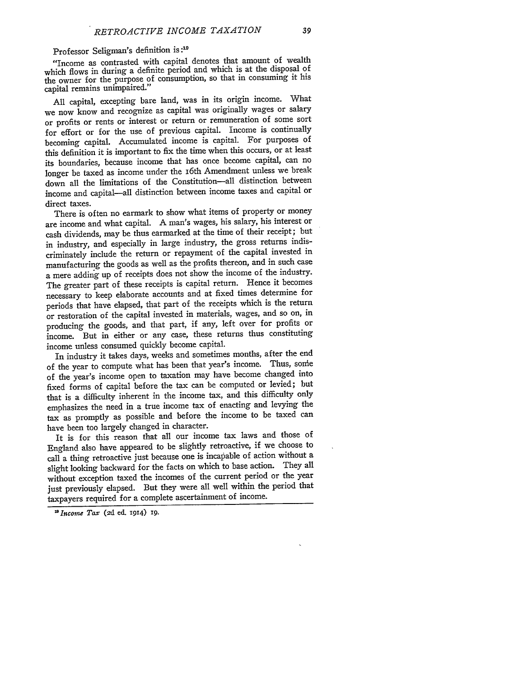## Professor Seligman's definition is:<sup>19</sup>

"Income as contrasted with capital denotes that amount of wealth which flows in during a definite period and which is at the disposal of the owner for the purpose of consumption, so that in consuming it his capital remains unimpaired."

All capital, excepting bare land, was in its origin income. What we now know and recognize as capital was originally wages or salary or profits or rents or interest or return or remuneration of some sort for effort or for the use of previous capital. Income is continually becoming capital. Accumulated income is capital. For purposes of this definition it is important to fix the time when this occurs, or at least its boundaries, because income that has once become capital, can no longer be taxed as income under the i6th Amendment unless we break down all the limitations of the Constitution-all distinction between income and capital-all distinction between income taxes and capital or direct taxes.

There is often no earmark to show what items of property or money are income and what capital. A man's wages, his salary, his interest or cash dividends, may be thus earmarked at the time of their receipt; but in industry, and especially in large industry, the gross returns indiscriminately include the return or repayment of the capital invested in manufacturing the goods as well as the profits thereon, and in such case a mere adding up of receipts does not show the income of the industry. The greater part of these receipts is capital return. Hence it becomes necessary to keep elaborate accounts and at fixed times determine for periods that have elapsed, that part of the receipts which is the return or restoration of the capital invested in materials, wages, and so on, in producing the goods, and that part, if any, left over for profits or income. But in either or any case, these returns thus constituting income unless consumed quickly become capital.

In industry it takes days, weeks and sometimes months, after the end of the year to compute what has been that year's income. Thus, sonie of the year's income open to taxation may have become changed into fixed forms of capital before the tax can be computed or levied; but that is a difficulty inherent in the income tax, and this difficulty only emphasizes the need in a true income tax of enacting and levying the tax as promptly as possible and before the income to be taxed can have been too largely changed in character.

It is for this reason that all our income tax laws and those of England also have appeared to be slightly retroactive, if we choose to call a thing retroactive just because one is incapable of action without a slight looking backward for the facts on which to base action. They all without exception taxed the incomes of the current period or the year just previously elapsed. But they were all well within the period that taxpayers required for a complete ascertainment of income.

*<sup>&#</sup>x27;Incoty Tax* **(2d** ed. **1914) 19.**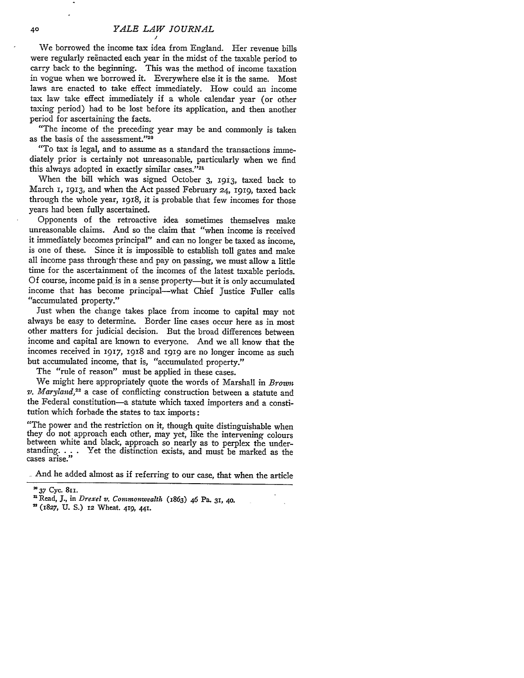We borrowed the income tax idea from England. Her revenue bills were regularly reenacted each year in the midst of the taxable period to carry back to the beginning. This was the method of income taxation in vogue when we borrowed it. Everywhere else it is the same. Most laws are enacted to take effect immediately. How could an income tax law take effect immediately if a whole calendar year (or other taxing period) had to be lost before its application, and then another period for ascertaining the facts.

"The income of the preceding year may be and commonly is taken as the basis of the assessment."20

"To tax is legal, and to assume as a standard the transactions immediately prior is certainly not unreasonable, particularly when we find this always adopted in exactly similar cases." $21$ 

When the bill which was signed October 3, 1913, taxed back to March **I,** 1913, and when the Act passed February 24, **1919,** taxed back through the whole year, 1918, it is probable that few incomes for those years had been fully ascertained.

Opponents of the retroactive idea sometimes themselves make unreasonable claims. And so the claim that "when income is received **it** immediately becomes principal" and can no longer be taxed as income, is one of these. Since it is impossible to establish toll gates and make all income pass through these and pay on passing, we must allow a little time for the ascertainment of the incomes of the latest taxable periods. Of course, income paid is in a sense property-but it is only accumulated income that has become principal-what Chief Justice Fuller calls "accumulated property."

Just when the change takes place from income to capital may not always be easy to determine. Border line cases occur here as in most other matters for judicial decision. But the broad differences between income and capital are known to everyone. And we all know that the incomes received in 1917, 1918 and 1919 are no longer income as such but accumulated income, that is, "accumulated property."

The "rule of reason" must be applied in these cases.

We might here appropriately quote the words of Marshall in *Brozwn v. Maryland,22* a case of conflicting construction between a statute and the Federal constitution-a statute which taxed importers and a constitution which forbade the states to tax imports:

"The power and the restriction on it, though quite distinguishable when they do not approach each other, may yet, like the intervening colours between white and black, approach so nearly as to perplex the understanding. **..** . Yet the distinction exists, and must be marked as the cases arise."

And he added almost as if referring to our case, that when the article

**<sup>=37</sup>** Cyc. 81i.

<sup>&#</sup>x27;Read, **J.,** in *Drexel v. Commonwealth* (1863) 46 Pa. **31, 40.**

**<sup>&#</sup>x27;** (1827, **U. S.)** 12 Wheat. 419, 441.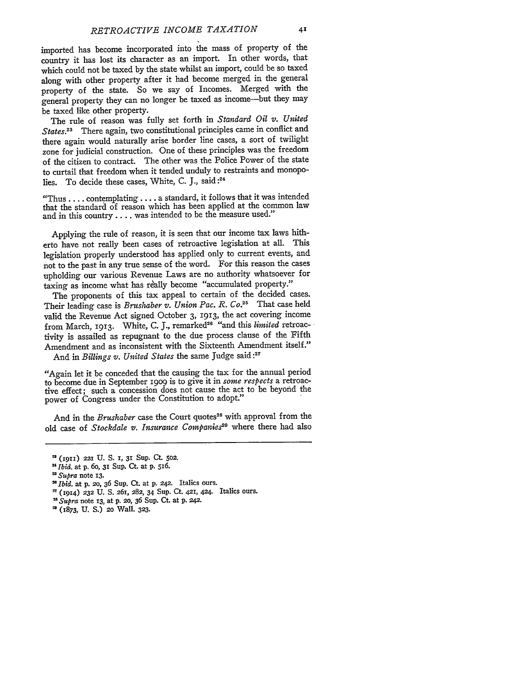imported has become incorporated into the mass of property of the country it has lost its character as an import. In other words, that which could not be taxed by the state whilst an import, could be so taxed along with other property after it had become merged in the general property of the state. So we say of Incomes. Merged with the general property they can no longer be taxed as income-but they may be taxed like other property.

The rule of reason was fully set forth in *Standard Oil v. United States.23* There again, two constitutional principles came in conflict and there again would naturally arise border line cases, a sort of twilight zone for judicial construction. One of these principles was the freedom of the citizen to contract. The other was the Police Power of the state to curtail that freedom when it tended unduly to restraints and monopolies. To decide these cases, White, C. J., said **:24**

"Thus .... contemplating. ... a standard, it follows that it was intended that the standard of reason which has been applied at the common law and in this country . . . . was intended to be the measure used."

Applying the rule of reason, it is seen that our income tax laws hitherto have not really been cases of retroactive legislation at all. This legislation properly understood has applied only to current events, and not to the past in any true sense of the word. For this reason the cases upholding our various Revenue Laws are no authority whatsoever for taxing as income what has really become "accumulated property."

The proponents of this tax appeal to certain of the decided cases. Their leading case is *Brushaber v. Union Pac. R. Co.25* That case held valid the Revenue Act signed October 3, **1913,** the act covering income from March, 1913. White, C. J., remarked<sup>26</sup> "and this *limited* retroactivity is assailed as repugnant to the due process clause of the Fifth Amendment and as inconsistent with the Sixteenth Amendment itself."

And in *Billings v. United States* the same judge said **:27**

"Again let it be conceded that the causing the tax for the annual period to become due in September 1909 is to give it in *some respects* a retroactive effect; such a concession does not cause the act to be beyond the power of Congress under the Constitution to adopt."

And in the *Brushaber* case the Court quotes<sup>28</sup> with approval from the old case of *Stockdale v. Insurance Companies<sup>29</sup>* where there had also

- **(194)** 9 **232** U. **S. 261,** 282, 34 Sup. Ct. 421, 424. Italics ours.
- **=** *Supra* note **13,** at p. **20, 36** Sup. Ct. at p. 242.
- (1873, U. S.) **2o** Wall. **323.**

<sup>(</sup>Ig91) **221 U. S. I, 31 Sup.** Ct. **502.**

*<sup>&</sup>quot;Ibid.* at p. 6o, **31** Sup. Ct. at p. 516.

<sup>&</sup>lt;sup>25</sup> Supra note 13.

*Ibid.* at p. **2o, 36** Sup. Ct. at **p. 242.** Italics ours.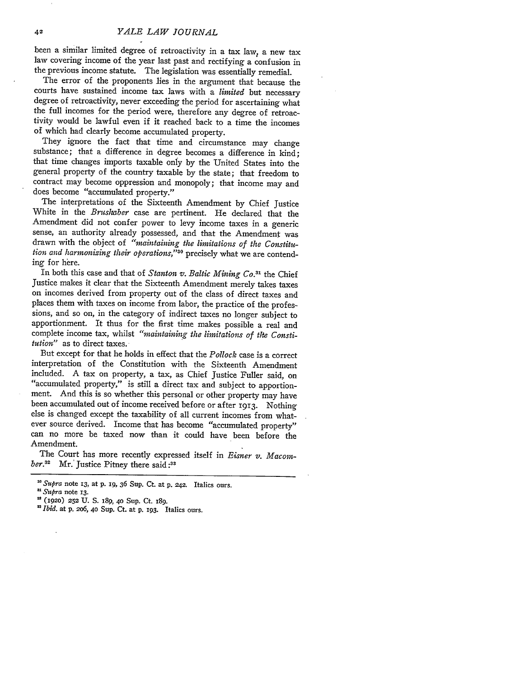been a similar limited degree of retroactivity in a tax law, a new tax law covering income of the year last past and rectifying a confusion in the previous income statute. The legislation was essentially remedial.

The error of the proponents lies in the argument that because the courts have sustained income tax laws with a *limited* but necessary degree of retroactivity, never exceeding the period for ascertaining what the full incomes for the period were, therefore any degree of retroactivity would be lawful even if it reached back to a time the incomes of which had clearly become accumulated property.

They ignore the fact that time and circumstance may change substance; that a difference in degree becomes a difference in kind; that time changes imports taxable only by the United States into the general property of the country taxable by the state; that freedom to contract may become oppression and monopoly; that income may and does become "accumulated property."

The interpretations of the Sixteenth Amendment by Chief Justice White in the *Brushaber* case are pertinent. He declared that the Amendment did not confer power to levy income taxes in a generic sense, an authority already possessed, and that the Amendment was drawn with the object of *"maintaining the limitations of the Constitution and harmonizing their operations,"0* precisely what we are contending for here.

In both this case and that of *Stanton v. Baltic Mining Co*.<sup>31</sup> the Chief Justice makes it clear that the Sixteenth Amendment merely takes taxes on incomes derived from property out of the class of direct taxes and places them with taxes on income from labor, the practice of the professions, and so on, in the category of indirect taxes no longer subject to apportionment. It thus for the first time makes possible a real and complete income tax, whilst *"maintaining the limitations of the Constitution"* as to direct taxes.

But except for that he holds in effect that the *Pollock* case is a correct interpretation of the Constitution with the Sixteenth Amendment included. A tax on property, a tax, as Chief Justice Fuller said, on "accumulated property," is still a direct tax and subject to apportionment. And this is so whether this personal or other property may have been accumulated out of income received before or after 1913. Nothing else is changed except the taxability of all current incomes from whatever source derived. Income that has become "accumulated property" can no more be taxed now than it could have been before the Amendment.

The Court has more recently expressed itself in *Eisner v. Macom*ber.32 Mr.' Justice Pitney there said **:**

Supra note 13, at **p.** *19,* 36 Sup. Ct. at **p. 242.** Italics ours. *'<sup>1</sup> Supra* note **13.**

<sup>(1920)</sup> **252 U. S.** 189, 40 Sup. Ct. 189.

*Ibid.* at **p.** 2o6, **40** Sup. Ct. at **p.** 193. Italics ours.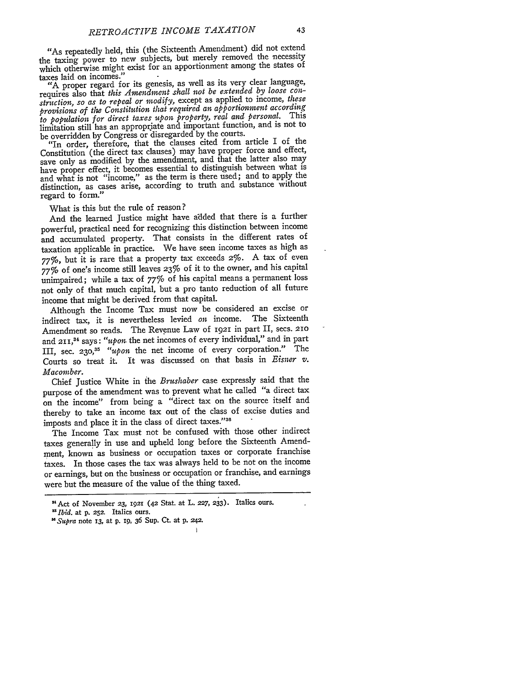"As repeatedly held, this (the Sixteenth Amendment) did not extend the taxing power to new subjects, but merely removed the necessity which otherwise might exist for an apportionment among the states of taxes laid on incomes."

"A proper regard for its genesis, as well as its very clear language, requires also that *this Amendment shall not be extended by loose construction, so as to repeal or modify,* except as applied to income, *these provisions of the Constitution that required an apportionment according to population for direct taxes upon property, real and personal.* This to population for direct taxes apon property. be overridden **by** Congress or disregarded **by** the courts.

"In order, therefore, that the clauses cited from article I of the Constitution (the direct tax clauses) may have proper force and effect, save only as modified by the amendment, and that the latter also may have proper effect, it becomes essential to distinguish between what is and what is not "income," as the term is there used; and to apply the distinction, as cases arise, according to truth and substance without regard to form."

What is this but the rule of reason?

And the learned Justice might have added that there is a further powerful, practical need for recognizing this distinction between income and accumulated property. That consists in the different rates of taxation applicable in practice. We have seen income taxes as high as 77%, but it is rare that a property tax exceeds **2%.** A tax of even **77%** of one's income still leaves **23%** of it to the owner, and his capital unimpaired; while a tax of 77% of his capital means a permanent loss not only of that much capital, but a pro tanto reduction of all future income that might be derived from that capital.

Although the Income Tax must now be considered an excise or indirect tax, it is nevertheless levied *on* income. The Sixteenth Amendment so reads. The Revenue Law of 1921 in part II, secs. **<sup>210</sup>** and **21I, <sup>3</sup> '** says: *"upon,* the net incomes of every individual," and in part III, sec. 230,<sup>35</sup> "upon the net income of every corporation." The Courts so treat it. It was discussed on that basis in *Eisner v. Macomber.*

Chief Justice White in the *Brushaber* case expressly said that the purpose of the amendment was to prevent what he called "a direct tax on the income" from being a "direct tax on the source itself and thereby to take an income tax out of the class of excise duties and imposts and place it in the class of direct taxes."36

The Income Tax must not be confused with those other indirect taxes generally in use and upheld long before the Sixteenth Amendment, known as business or occupation taxes or corporate franchise taxes. In those cases the tax was always held to be not on the income or earnings, but on the business or occupation or franchise, and earnings were but the measure of the value of the thing taxed.

- *Ibid.* at **p. 252.** Italics ours.
- *Supra* note **13,** at **p.** 19, **36** Sup. Ct. at **p.** *242.*

<sup>&</sup>quot;Act **of** November **23,** 1921 **(42** Stat. at L. **227, 233).** Italics ours.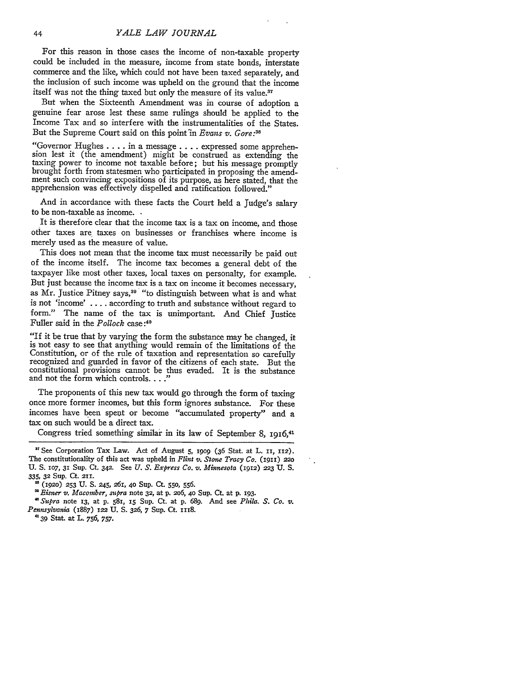For this reason in those cases the income of non-taxable property could be included in the measure, income from state bonds, interstate commerce and the like, which could not have been taxed separately, and the inclusion of such income was upheld on the ground that the income itself was not the thing taxed but only the measure of its value.<sup>37</sup>

But when the Sixteenth Amendment was in course of adoption a genuine fear arose lest these same rulings should be applied to the Income Tax and so interfere with the instrumentalities of the States. But the Supreme Court said on this point'in *Evans v. Gore:38*

"Governor Hughes .... in a message .... expressed some apprehension lest it (the amendment) might be construed as extending the taxing power to income not taxable before; but his message promptly brought forth from statesmen who participated in proposing the amendment such convincing expositions of its purpose, as here stated, that the apprehension was effectively dispelled and ratification followed.

And in accordance with these facts the Court held a Judge's salary to be non-taxable as income. -

It is therefore clear that the income tax is a tax on income, and those other taxes are taxes on businesses or franchises where income is merely used as the measure of value.

This does not mean that the income tax must necessarily be paid out of the income itself. The income tax becomes a general debt of the taxpayer like most other taxes, local taxes on personalty, for example. But just because the income tax is a tax on income it becomes necessary, as Mr. Justice Pitney says,<sup>39</sup> "to distinguish between what is and what is not 'income' ... . according to truth and substance without regard to form." The name of the tax is unimportant. And Chief Justice Fuller said in the *Pollock* case **:40**

"If it be true that by varying the form the substance may be changed, it is not easy to see that anything would remain of the limitations of the Constitution, or of the rule of taxation and representation so carefully recognized and guarded in favor of the citizens of each state. But the constitutional provisions cannot be thus evaded. It is the substance and not the form which controls. . .

The proponents of this new tax would go through the form of taxing once more former incomes, but this form ignores substance. For these incomes have been speut or become "accumulated property" and a tax on such would be a direct tax.

Congress tried something similar in its law of September 8, 1916,<sup>41</sup>

<sup>&</sup>quot;See Corporation Tax Law. Act of August 5, **1909 (36** Stat. at L. **1I, 112).** The constitutionality of this act was upheld in *Flint v. Stone Tracy Co.* (i91i) **220 U. S.** 3O7, **31** Sup. Ct. **342.** See *U. S. Express Co. v. Minnesota* (1912) **223 U. S.** 335, **32** Sup. Ct. **211.**

**<sup>&#</sup>x27;** (1920) **253** U. **S.** 245, **261, 40** Sup. Ct. **550, 556.**

*<sup>&#</sup>x27; Eisner v. Macomber, supra* note **32,** at p. 2o6, 4o Sup. Ct. at p. 193.

*<sup>&</sup>quot; Supra* note 13, at p. 581, 15 Sup. Ct. at p. 689. And see *Phila. S. Co. v. Pennsylvania* (1887) 122 U. S. 326, 7 Sup. Ct. 1118.  $\frac{4}{39}$  Stat. at L. 756, 757.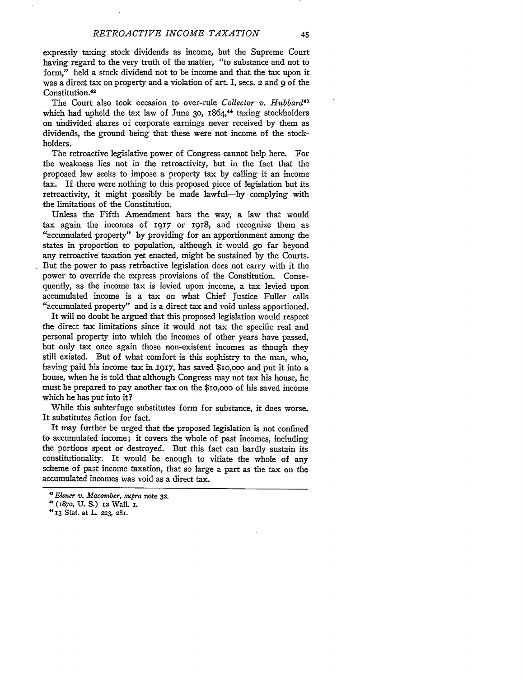expressly taxing stock dividends as income, but the Supreme Court having regard to the very truth of the matter, "to substance and not to form," held a stock dividend not to be income and that the tax upon it was a direct tax on property and a violation of art. I, secs. 2 and 9 of the Constitution.<sup>42</sup>

The Court also took occasion to over-rule *Collector v. Hubbard43* which had upheld the tax law of June 30,  $1864$ ,<sup>44</sup> taxing stockholders on undivided shares of corporate earnings never received by them as dividends, the ground being that these were not income of the stockholders.

The retroactive legislative power of Congress cannot help here. For the weakness lies not in the retroactivity, but in the fact that the proposed law seeks to impose a property tax by calling it an income tax. If .there were nothing to this proposed piece of legislation but its retroactivity, it might possibly be made lawful-by complying with the limitations of the Constitution.

Unless the Fifth Amendment bars the way, a law that would tax again the incomes of 1917 or 1918, and recognize them as "accumulated property" by providing for an apportionment among the states in proportion to population, although it would go far beyond any retroactive taxation yet enacted, might be sustained by the Courts. But the power to pass retroactive legislation does not carry with it the power to override the express provisions of the Constitution. Consequently, as the income tax is levied upon income, a tax levied upon accumulated income is a tax on what Chief Justice Fuller calls "accumulated property" and is a direct tax and void unless apportioned.

It will no doubt be argued that this proposed legislation would respect the direct tax limitations since it would not tax the specific real and personal property into which the incomes of other years have passed, but only tax once again those non-existent incomes as though they still existed. But of what comfort is this sophistry to the man, who, having paid his income tax in 1917, has saved \$10,000 and put it into a house, when he is told that although Congress may not tax his house, he must be prepared to pay another tax on the \$io,ooo of his saved income which he has put into it?

While this subterfuge substitutes form for substance, it does worse. It substitutes fiction for fact.

It may further be urged that the proposed legislation is not confined to accumulated income; it covers the whole of past incomes, including the portions spent or destroyed. But this fact can hardly sustain its constitutionality. It would be enough to vitiate the whole of any scheme of past income taxation, that so large a part as the tax on the accumulated incomes was void as a direct tax.

*<sup>&</sup>quot;Eisner v. Macomiber, supra* note **32.**

**<sup>(</sup>I870, U.** S.) **12** Wall. **I.**

**<sup>13</sup>**Stat. at **L. 223, 281.**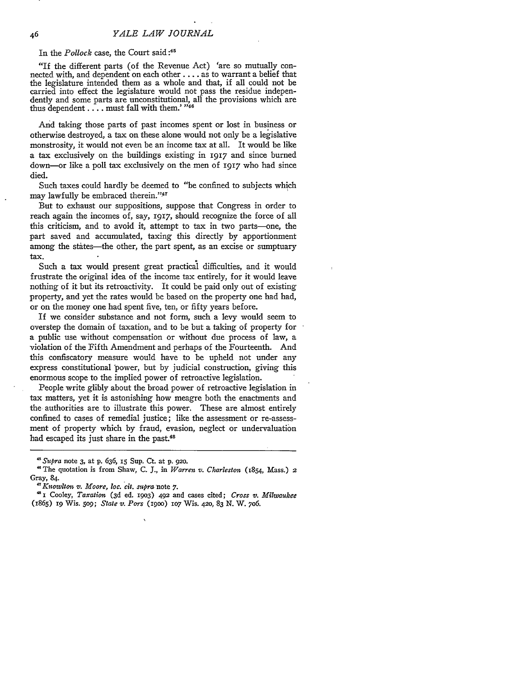In the *Pollock* case, the Court said :45

"If the different parts (of the Revenue Act) 'are so mutually connected with, and dependent on each other .... as to warrant a belief that the legislature intended them as a whole and that, if all could not be carried into effect the legislature would not pass the residue independently and some parts are unconstitutional, all the provisions which are thus dependent . . . . must fall with them.' "46

And taking those parts of past incomes spent or lost in business or otherwise destroyed, a tax on these alone would not only be a legislative monstrosity, it would not even be an income tax at all. It would be like a tax exclusively on the buildings existing in 1917 and since burned down-or like a poll tax exclusively on the men of 1917 who had since died.

Such taxes could hardly be deemed to "be confined to subjects which may lawfully be embraced therein."<sup>47</sup>

But to exhaust our suppositions, suppose that Congress in order to reach again the incomes of, say, 1917, should recognize the force of all this criticism, and to avoid it, attempt to tax in two parts-one, the part saved and accumulated, taxing this directly **by** apportionment among the states-the other, the part spent, as an excise or sumptuary tax.

Such a tax would present great practical difficulties, and it would frustrate the original idea of the income tax entirely, for it would leave nothing of it but its retroactivity. It could be paid only out of existing property, and yet the rates would be based on the property one had had, or on the money one had spent five, ten, or fifty years before.

If we consider substance and not form, such a levy would seem to overstep the domain of taxation, and to be but a taking of property for a public use without compensation or without due process of law, a violation of the Fifth Amendment and perhaps of the Fourteenth. And this confiscatory measure would have to be upheld not under any express constitutional 'power, but by judicial construction, giving this enormous scope to the implied power of retroactive legislation.

People write glibly about the broad power of retroactive legislation in tax matters, yet it is astonishing how meagre both the enactments and the authorities are to illustrate this power. These are almost entirely confined to cases of remedial justice; like the assessment or re-assessment of property which by fraud, evasion, neglect or undervaluation had escaped its just share in the past.<sup>48</sup>

*<sup>&</sup>quot; Supra* note 3, at p. 636, 15 Sup. Ct. at p. **920.**

<sup>&</sup>quot;The quotation is from Shaw, C. **J.,** in *Warren v. Charleston* (1854, Mass.) 2 Gray, 84.

*<sup>&</sup>quot; Knowlton v. Moore,* loc. *cit. supra* note **7. 48I** Cooley, *Taxation* (3d ed. **19o3)** 492 and cases cited; *Cross v. Milwaukee* (1865) **19** Wis. *509; State v. Pors* (igoo) 1O7 Wis. **420, 83** *N.* W. 7o6.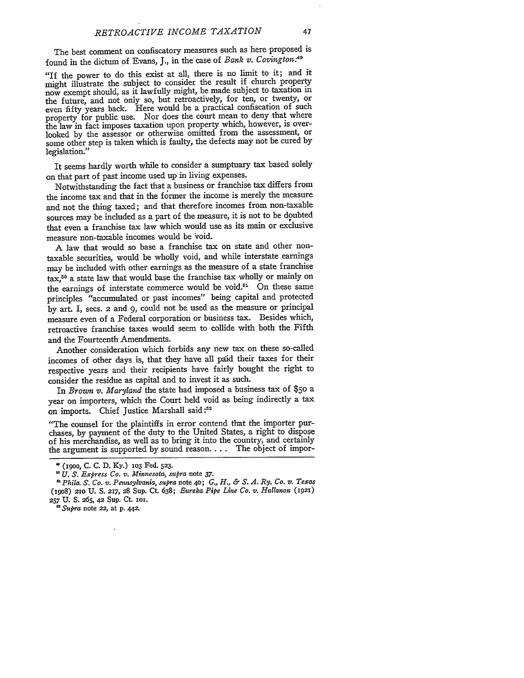The best comment on confiscatory measures such as here proposed is found in the dictum of Evans, J., in the case of *Bank* v. *Covington<sup>49</sup>*

"If the power to do this exist at all, there is no limit to it; and it might illustrate the subject to consider the result if church property now exempt should, as it lawfully might, be made subject to taxation in the future, and not only so, but retroactively, for ten, or twenty, or even fifty years back. Here would be a practical confiscation of such property for public use. Nor does the court mean to deny that where the law in fact imposes taxation upon property which, however, is overlooked by the assessor or otherwise omitted from the assessment, or some other step is taken which is faulty. the defects may not be cured by legislation."

It seems hardly worth while to consider a sumptuary tax based solely on that part of past income used up in living expenses.

Notwithstanding the fact that a business or franchise tax differs from the income tax and that in the former the income is merely the measure and not the thing taxed; and that therefore incomes from non-taxable sources may be included as a part of the measure, it is not to be doubted that even a franchise tax law which would use as its main or exclusive measure non-taxable incomes would be void.

A law that would so base a franchise tax on state and other nontaxable securities, would be wholly void, and while interstate earnings may be included with other earnings as the measure of a state franchise tax,50 a state law that would base the franchise tax wholly or mainly on the earnings of interstate commerce would be void.<sup>51</sup> On these same principles "accumulated or past incomes" being capital and protected by art. I, secs. 2 and 9, could not be used as the measure or principal measure even of a Federal corporation or business tax. Besides which, retroactive franchise taxes would seem to collide with both the Fifth and the Fourteenth Amendments.

Another consideration which forbids any new tax on these so-called incomes of other days is, that they have all paid their taxes for their respective years and their recipients have fairly bought the right to consider the residue as capital and to invest it as such.

In *Brown v. Maryland* the state had imposed a business tax of \$5o a year on importers, which the Court held void as being indirectly a tax on imports. Chief Justice Marshall said **:52**

"The counsel for the plaintiffs in error contend that the importer purchases, by payment of the duty to the United States, a right to dispose of his merchandise, as well as to bring it into the country, and certainly the argument is supported by sound reason. . . . The object of impor-

*' Supra* note 22, at p. 442.

**<sup>(</sup>i900, C.** C. **D.** Ky.) **103** Fed. **523.**

*U. S. Express Co. v. Minnesota, supra* note 37.

*<sup>&</sup>quot;Phila. S. Co. v. Pensyvani, supra* note **40;** *G., H., & S. A. Ry. Co. v. Texas* (I9o8) **210** U. S. 217, 28 Sup. Ct. 638; *Eureka Pipe Line Co. v. Hallanair* **(1921) 257** U. **S. 265,** 42 Sup. Ct. I01.